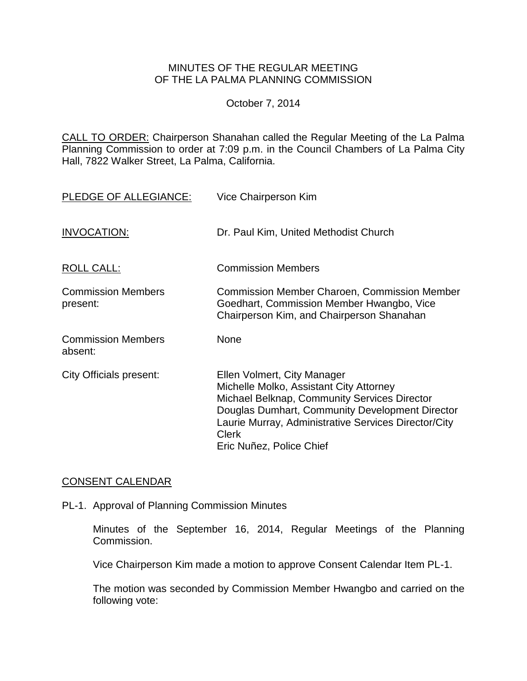## MINUTES OF THE REGULAR MEETING OF THE LA PALMA PLANNING COMMISSION

## October 7, 2014

CALL TO ORDER: Chairperson [Shanahan called the Regular Meeting of the La Palma](http://lapalma.granicus.com/MediaPlayer.php?view_id=&clip_id=860&meta_id=113910)  Planning Commission to order at 7:09 [p.m. in the Council Chambers of La Palma City](http://lapalma.granicus.com/MediaPlayer.php?view_id=&clip_id=860&meta_id=113910)  [Hall, 7822 Walker Street, La Palma, California.](http://lapalma.granicus.com/MediaPlayer.php?view_id=&clip_id=860&meta_id=113910)

| PLEDGE OF ALLEGIANCE:                 | Vice Chairperson Kim                                                                                                                                                                                                                                                          |
|---------------------------------------|-------------------------------------------------------------------------------------------------------------------------------------------------------------------------------------------------------------------------------------------------------------------------------|
| INVOCATION:                           | Dr. Paul Kim, United Methodist Church                                                                                                                                                                                                                                         |
| <b>ROLL CALL:</b>                     | <b>Commission Members</b>                                                                                                                                                                                                                                                     |
| <b>Commission Members</b><br>present: | <b>Commission Member Charoen, Commission Member</b><br>Goedhart, Commission Member Hwangbo, Vice<br>Chairperson Kim, and Chairperson Shanahan                                                                                                                                 |
| <b>Commission Members</b><br>absent:  | None                                                                                                                                                                                                                                                                          |
| <b>City Officials present:</b>        | Ellen Volmert, City Manager<br>Michelle Molko, Assistant City Attorney<br>Michael Belknap, Community Services Director<br>Douglas Dumhart, Community Development Director<br>Laurie Murray, Administrative Services Director/City<br><b>Clerk</b><br>Eric Nuñez, Police Chief |

# [CONSENT CALENDAR](http://lapalma.granicus.com/MediaPlayer.php?view_id=&clip_id=860&meta_id=114012)

PL-1. Approval of Planning Commission Minutes

Minutes of the September 16, 2014, Regular Meetings of the Planning Commission.

Vice Chairperson Kim made a motion to approve Consent Calendar Item PL-1.

The motion was seconded by Commission Member Hwangbo and carried on the following vote: